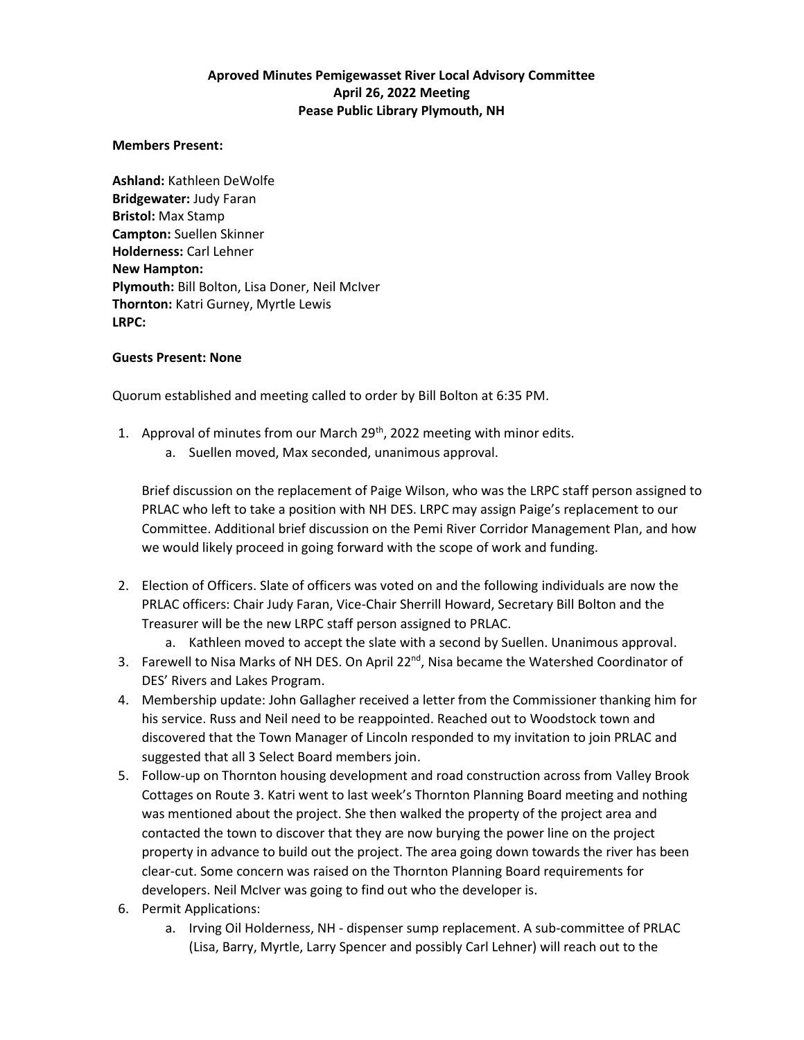## **Aproved Minutes Pemigewasset River Local Advisory Committee April 26, 2022 Meeting Pease Public Library Plymouth, NH**

## **Members Present:**

**Ashland:** Kathleen DeWolfe **Bridgewater:** Judy Faran **Bristol:** Max Stamp **Campton:** Suellen Skinner **Holderness:** Carl Lehner **New Hampton: Plymouth:** Bill Bolton, Lisa Doner, Neil McIver **Thornton:** Katri Gurney, Myrtle Lewis **LRPC:**

## **Guests Present: None**

Quorum established and meeting called to order by Bill Bolton at 6:35 PM.

- 1. Approval of minutes from our March 29<sup>th</sup>, 2022 meeting with minor edits.
	- a. Suellen moved, Max seconded, unanimous approval.

Brief discussion on the replacement of Paige Wilson, who was the LRPC staff person assigned to PRLAC who left to take a position with NH DES. LRPC may assign Paige's replacement to our Committee. Additional brief discussion on the Pemi River Corridor Management Plan, and how we would likely proceed in going forward with the scope of work and funding.

- 2. Election of Officers. Slate of officers was voted on and the following individuals are now the PRLAC officers: Chair Judy Faran, Vice-Chair Sherrill Howard, Secretary Bill Bolton and the Treasurer will be the new LRPC staff person assigned to PRLAC.
	- a. Kathleen moved to accept the slate with a second by Suellen. Unanimous approval.
- 3. Farewell to Nisa Marks of NH DES. On April 22<sup>nd</sup>, Nisa became the Watershed Coordinator of DES' Rivers and Lakes Program.
- 4. Membership update: John Gallagher received a letter from the Commissioner thanking him for his service. Russ and Neil need to be reappointed. Reached out to Woodstock town and discovered that the Town Manager of Lincoln responded to my invitation to join PRLAC and suggested that all 3 Select Board members join.
- 5. Follow-up on Thornton housing development and road construction across from Valley Brook Cottages on Route 3. Katri went to last week's Thornton Planning Board meeting and nothing was mentioned about the project. She then walked the property of the project area and contacted the town to discover that they are now burying the power line on the project property in advance to build out the project. The area going down towards the river has been clear-cut. Some concern was raised on the Thornton Planning Board requirements for developers. Neil McIver was going to find out who the developer is.
- 6. Permit Applications:
	- a. Irving Oil Holderness, NH dispenser sump replacement. A sub-committee of PRLAC (Lisa, Barry, Myrtle, Larry Spencer and possibly Carl Lehner) will reach out to the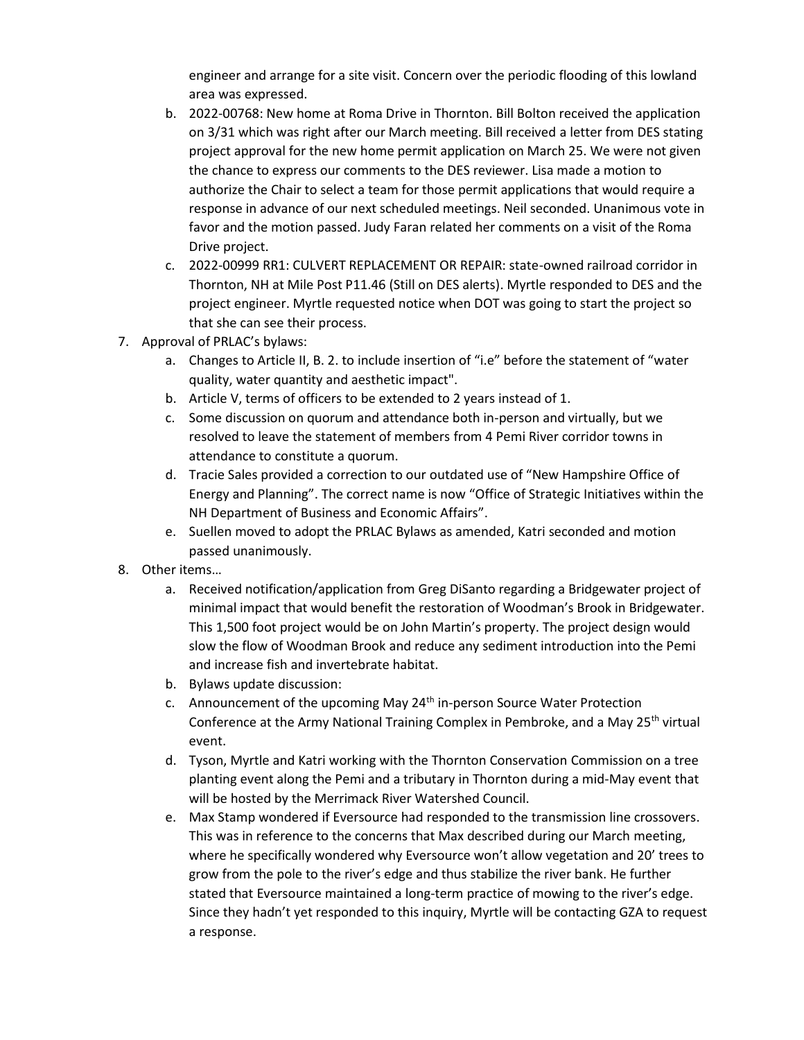engineer and arrange for a site visit. Concern over the periodic flooding of this lowland area was expressed.

- b. 2022-00768: New home at Roma Drive in Thornton. Bill Bolton received the application on 3/31 which was right after our March meeting. Bill received a letter from DES stating project approval for the new home permit application on March 25. We were not given the chance to express our comments to the DES reviewer. Lisa made a motion to authorize the Chair to select a team for those permit applications that would require a response in advance of our next scheduled meetings. Neil seconded. Unanimous vote in favor and the motion passed. Judy Faran related her comments on a visit of the Roma Drive project.
- c. 2022-00999 RR1: CULVERT REPLACEMENT OR REPAIR: state-owned railroad corridor in Thornton, NH at Mile Post P11.46 (Still on DES alerts). Myrtle responded to DES and the project engineer. Myrtle requested notice when DOT was going to start the project so that she can see their process.
- 7. Approval of PRLAC's bylaws:
	- a. Changes to Article II, B. 2. to include insertion of "i.e" before the statement of "water quality, water quantity and aesthetic impact".
	- b. Article V, terms of officers to be extended to 2 years instead of 1.
	- c. Some discussion on quorum and attendance both in-person and virtually, but we resolved to leave the statement of members from 4 Pemi River corridor towns in attendance to constitute a quorum.
	- d. Tracie Sales provided a correction to our outdated use of "New Hampshire Office of Energy and Planning". The correct name is now "Office of Strategic Initiatives within the NH Department of Business and Economic Affairs".
	- e. Suellen moved to adopt the PRLAC Bylaws as amended, Katri seconded and motion passed unanimously.
- 8. Other items…
	- a. Received notification/application from Greg DiSanto regarding a Bridgewater project of minimal impact that would benefit the restoration of Woodman's Brook in Bridgewater. This 1,500 foot project would be on John Martin's property. The project design would slow the flow of Woodman Brook and reduce any sediment introduction into the Pemi and increase fish and invertebrate habitat.
	- b. Bylaws update discussion:
	- c. Announcement of the upcoming May 24<sup>th</sup> in-person Source Water Protection Conference at the Army National Training Complex in Pembroke, and a May 25<sup>th</sup> virtual event.
	- d. Tyson, Myrtle and Katri working with the Thornton Conservation Commission on a tree planting event along the Pemi and a tributary in Thornton during a mid-May event that will be hosted by the Merrimack River Watershed Council.
	- e. Max Stamp wondered if Eversource had responded to the transmission line crossovers. This was in reference to the concerns that Max described during our March meeting, where he specifically wondered why Eversource won't allow vegetation and 20' trees to grow from the pole to the river's edge and thus stabilize the river bank. He further stated that Eversource maintained a long-term practice of mowing to the river's edge. Since they hadn't yet responded to this inquiry, Myrtle will be contacting GZA to request a response.